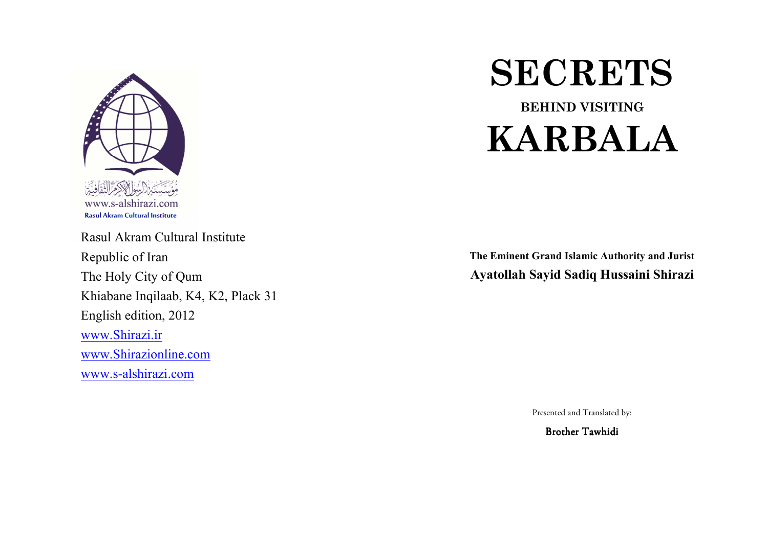

Rasul Akram Cultural Institute Republic of Iran The Holy City of Qum Khiabane Inqilaab, K4, K2, Plack 31English edition, 2012www.Shirazi.irwww.Shirazionline.comwww.s-alshirazi.com

# **SECRETS**

BEHIND VISITINGKARBALA

The Eminent Grand Islamic Authority and Jurist Ayatollah Sayid Sadiq Hussaini Shirazi

Presented and Translated by:

Brother Tawhidi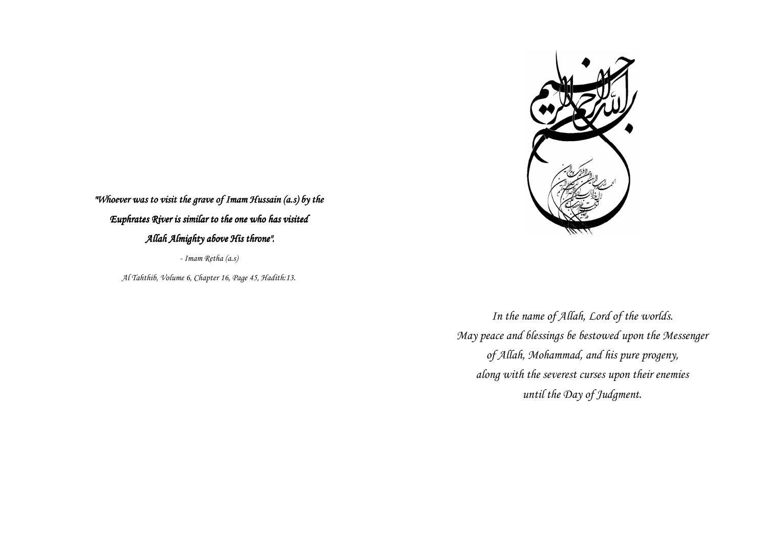

"Whoever was to visit the grave of Imam Hussain (a.s) by the Euphrates River is similar to the one who has visited  $\,$ Allah Almighty above His throne".

- Imam Retha (a.s)

Al Tahthib, Volume 6, Chapter 16, Page 45, Hadith:13.

In the name of Allah, Lord of the worlds. May peace and blessings be bestowed upon the Messenger of Allah, Mohammad, and his pure progeny, along with the severest curses upon their enemies until the Day of Judgment.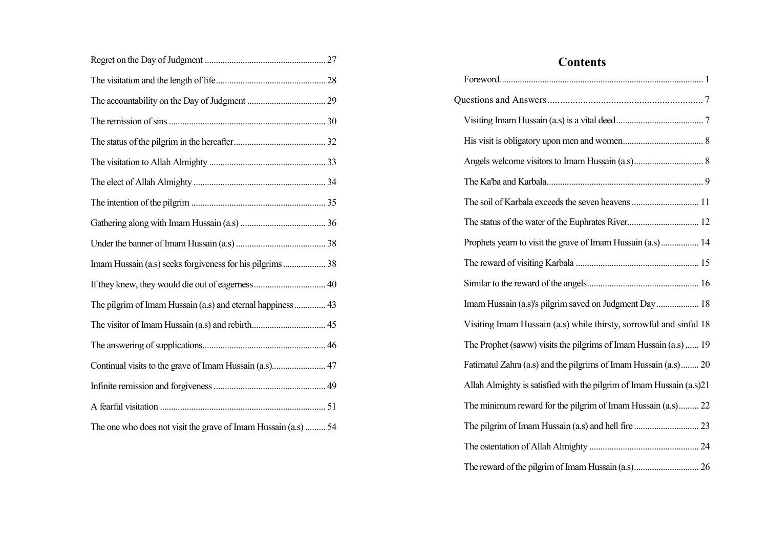| Imam Hussain (a.s) seeks forgiveness for his pilgrims 38       |
|----------------------------------------------------------------|
|                                                                |
| The pilgrim of Imam Hussain (a.s) and eternal happiness  43    |
|                                                                |
|                                                                |
|                                                                |
|                                                                |
|                                                                |
| The one who does not visit the grave of Imam Hussain (a.s)  54 |

| <b>Contents</b>                                                      |
|----------------------------------------------------------------------|
|                                                                      |
|                                                                      |
|                                                                      |
|                                                                      |
|                                                                      |
|                                                                      |
|                                                                      |
|                                                                      |
| Prophets yearn to visit the grave of Imam Hussain (a.s) 14           |
|                                                                      |
|                                                                      |
| Imam Hussain (a.s)'s pilgrim saved on Judgment Day 18                |
| Visiting Imam Hussain (a.s) while thirsty, sorrowful and sinful 18   |
| The Prophet (saww) visits the pilgrims of Imam Hussain (a.s)  19     |
| Fatimatul Zahra (a.s) and the pilgrims of Imam Hussain (a.s) 20      |
| Allah Almighty is satisfied with the pilgrim of Imam Hussain (a.s)21 |
| The minimum reward for the pilgrim of Imam Hussain (a.s) 22          |
|                                                                      |
|                                                                      |
|                                                                      |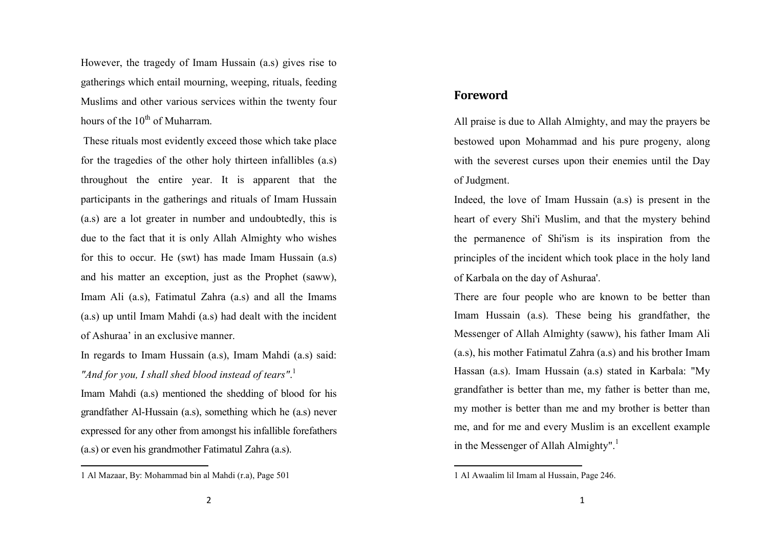However, the tragedy of Imam Hussain (a.s) gives rise to gatherings which entail mourning, weeping, rituals, feeding Muslims and other various services within the twenty four hours of the  $10^{th}$  of Muharram.

 These rituals most evidently exceed those which take place for the tragedies of the other holy thirteen infallibles (a.s) throughout the entire year. It is apparent that theparticipants in the gatherings and rituals of Imam Hussain (a.s) are a lot greater in number and undoubtedly, this is due to the fact that it is only Allah Almighty who wishes for this to occur. He (swt) has made Imam Hussain (a.s) and his matter an exception, just as the Prophet (saww), Imam Ali (a.s), Fatimatul Zahra (a.s) and all the Imams (a.s) up until Imam Mahdi (a.s) had dealt with the incident of Ashuraa' in an exclusive manner.

In regards to Imam Hussain (a.s), Imam Mahdi (a.s) said: "And for you, I shall shed blood instead of tears".<sup>1</sup>

Imam Mahdi (a.s) mentioned the shedding of blood for his grandfather Al-Hussain (a.s), something which he (a.s) never expressed for any other from amongst his infallible forefathers (a.s) or even his grandmother Fatimatul Zahra (a.s).

#### Foreword

All praise is due to Allah Almighty, and may the prayers be bestowed upon Mohammad and his pure progeny, along with the severest curses upon their enemies until the Day of Judgment.

Indeed, the love of Imam Hussain (a.s) is present in the heart of every Shi'i Muslim, and that the mystery behind the permanence of Shi'ism is its inspiration from the principles of the incident which took place in the holy land of Karbala on the day of Ashuraa'.

There are four people who are known to be better than Imam Hussain (a.s). These being his grandfather, the Messenger of Allah Almighty (saww), his father Imam Ali (a.s), his mother Fatimatul Zahra (a.s) and his brother Imam Hassan (a.s). Imam Hussain (a.s) stated in Karbala: "My grandfather is better than me, my father is better than me, my mother is better than me and my brother is better than me, and for me and every Muslim is an excellent example in the Messenger of Allah Almighty".<sup>1</sup>

<sup>1</sup> Al Mazaar, By: Mohammad bin al Mahdi (r.a), Page 501

<sup>1</sup> Al Awaalim lil Imam al Hussain, Page 246.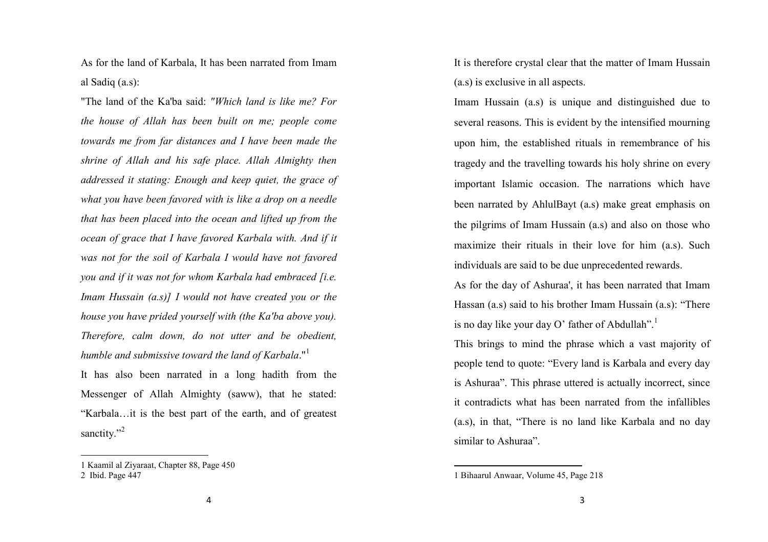As for the land of Karbala, It has been narrated from Imam al Sadiq (a.s):

"The land of the Ka'ba said: "Which land is like me? For the house of Allah has been built on me; people come towards me from far distances and I have been made the shrine of Allah and his safe place. Allah Almighty then addressed it stating: Enough and keep quiet, the grace of what you have been favored with is like a drop on a needle that has been placed into the ocean and lifted up from the ocean of grace that I have favored Karbala with. And if it was not for the soil of Karbala I would have not favored you and if it was not for whom Karbala had embraced [i.e. Imam Hussain  $(a.s)$ ] I would not have created you or the house you have prided yourself with (the Ka'ba above you). Therefore, calm down, do not utter and be obedient,humble and submissive toward the land of Karbala."<sup>1</sup>

It has also been narrated in a long hadith from theMessenger of Allah Almighty (saww), that he stated:"Karbala…it is the best part of the earth, and of greatest sanctity."<sup>2</sup>

It is therefore crystal clear that the matter of Imam Hussain (a.s) is exclusive in all aspects.

Imam Hussain (a.s) is unique and distinguished due to several reasons. This is evident by the intensified mourning upon him, the established rituals in remembrance of his tragedy and the travelling towards his holy shrine on every important Islamic occasion. The narrations which have been narrated by AhlulBayt (a.s) make great emphasis on the pilgrims of Imam Hussain (a.s) and also on those who maximize their rituals in their love for him (a.s). Such individuals are said to be due unprecedented rewards.

As for the day of Ashuraa', it has been narrated that Imam Hassan (a.s) said to his brother Imam Hussain (a.s): "There is no day like your day O' father of Abdullah".

This brings to mind the phrase which a vast majority of people tend to quote: "Every land is Karbala and every day is Ashuraa". This phrase uttered is actually incorrect, since it contradicts what has been narrated from the infallibles (a.s), in that, "There is no land like Karbala and no day similar to Ashuraa".

<sup>1</sup> Kaamil al Ziyaraat, Chapter 88, Page 450 2 Ibid. Page 447

<sup>1</sup> Bihaarul Anwaar, Volume 45, Page 218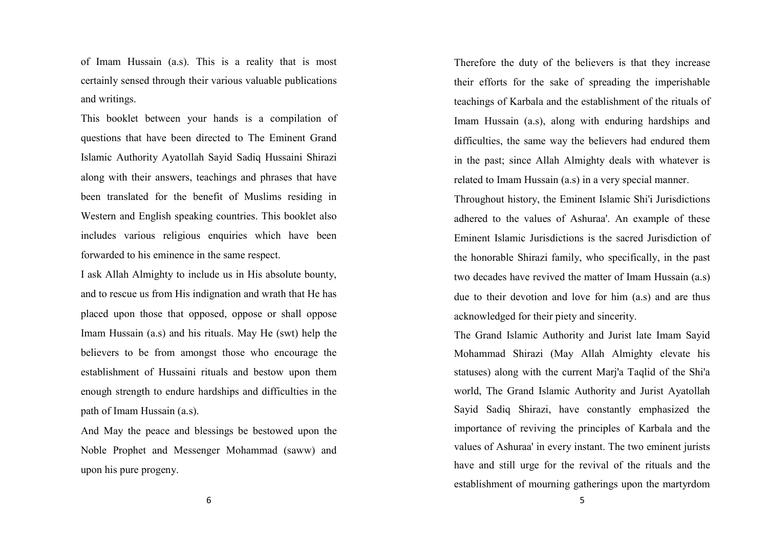of Imam Hussain (a.s). This is a reality that is most certainly sensed through their various valuable publications and writings.

This booklet between your hands is a compilation ofquestions that have been directed to The Eminent Grand Islamic Authority Ayatollah Sayid Sadiq Hussaini Shirazi along with their answers, teachings and phrases that have been translated for the benefit of Muslims residing in Western and English speaking countries. This booklet also includes various religious enquiries which have been forwarded to his eminence in the same respect.

I ask Allah Almighty to include us in His absolute bounty, and to rescue us from His indignation and wrath that He has placed upon those that opposed, oppose or shall oppose Imam Hussain (a.s) and his rituals. May He (swt) help the believers to be from amongst those who encourage the establishment of Hussaini rituals and bestow upon them enough strength to endure hardships and difficulties in the path of Imam Hussain (a.s).

And May the peace and blessings be bestowed upon the Noble Prophet and Messenger Mohammad (saww) and upon his pure progeny.

Therefore the duty of the believers is that they increase their efforts for the sake of spreading the imperishable teachings of Karbala and the establishment of the rituals of Imam Hussain (a.s), along with enduring hardships and difficulties, the same way the believers had endured them in the past; since Allah Almighty deals with whatever is related to Imam Hussain (a.s) in a very special manner.

Throughout history, the Eminent Islamic Shi'i Jurisdictions adhered to the values of Ashuraa'. An example of these Eminent Islamic Jurisdictions is the sacred Jurisdiction of the honorable Shirazi family, who specifically, in the past two decades have revived the matter of Imam Hussain (a.s) due to their devotion and love for him (a.s) and are thus acknowledged for their piety and sincerity.

The Grand Islamic Authority and Jurist late Imam Sayid Mohammad Shirazi (May Allah Almighty elevate his statuses) along with the current Marj'a Taqlid of the Shi'a world, The Grand Islamic Authority and Jurist Ayatollah Sayid Sadiq Shirazi, have constantly emphasized theimportance of reviving the principles of Karbala and the values of Ashuraa' in every instant. The two eminent jurists have and still urge for the revival of the rituals and the establishment of mourning gatherings upon the martyrdom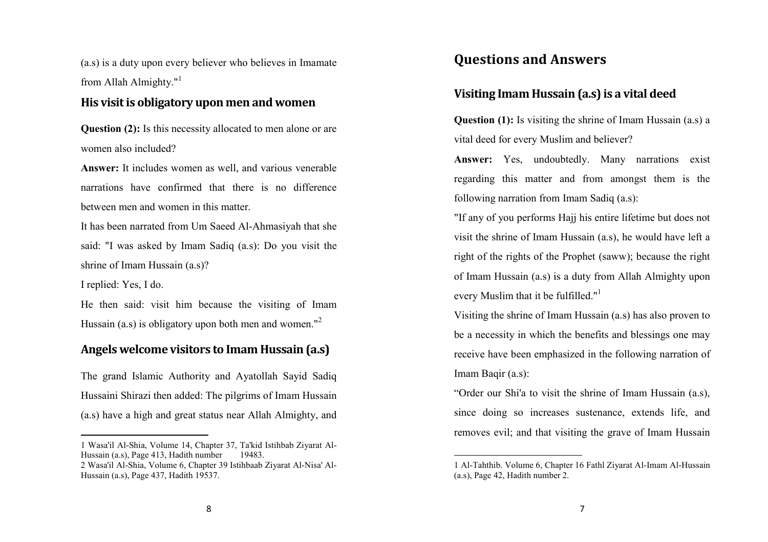(a.s) is a duty upon every believer who believes in Imamate from Allah Almighty."<sup>1</sup>

## His visit is obligatory upon men and women

**Question (2):** Is this necessity allocated to men alone or are women also included?

Answer: It includes women as well, and various venerable narrations have confirmed that there is no difference between men and women in this matter.

It has been narrated from Um Saeed Al-Ahmasiyah that she said: "I was asked by Imam Sadiq (a.s): Do you visit the shrine of Imam Hussain (a.s)?

I replied: Yes, I do.

He then said: visit him because the visiting of Imam Hussain (a.s) is obligatory upon both men and women."<sup>2</sup>

# Angels welcome visitors to Imam Hussain (a.s)

The grand Islamic Authority and Ayatollah Sayid Sadiq Hussaini Shirazi then added: The pilgrims of Imam Hussain (a.s) have a high and great status near Allah Almighty, and

# Questions and Answers

# Visiting Imam Hussain (a.s) is a vital deed

**Question (1):** Is visiting the shrine of Imam Hussain (a.s) a vital deed for every Muslim and believer?

Answer: Yes, undoubtedly. Many narrations exist regarding this matter and from amongst them is the following narration from Imam Sadiq (a.s):

"If any of you performs Hajj his entire lifetime but does not visit the shrine of Imam Hussain (a.s), he would have left a right of the rights of the Prophet (saww); because the right of Imam Hussain (a.s) is a duty from Allah Almighty upon every Muslim that it be fulfilled."<sup>1</sup>

Visiting the shrine of Imam Hussain (a.s) has also proven to be a necessity in which the benefits and blessings one may receive have been emphasized in the following narration of Imam Baqir (a.s):

"Order our Shi'a to visit the shrine of Imam Hussain (a.s), since doing so increases sustenance, extends life, and removes evil; and that visiting the grave of Imam Hussain

<sup>1</sup> Wasa'il Al-Shia, Volume 14, Chapter 37, Ta'kid Istihbab Ziyarat Al-Hussain (a.s), Page 413, Hadith number 19483.

2 Wasa'il Al-Shia, Volume 6, Chapter 39 Istihbaab Ziyarat Al-Nisa' Al-Hussain (a.s), Page 437, Hadith 19537.

<sup>1</sup> Al-Tahthib. Volume 6, Chapter 16 Fathl Ziyarat Al-Imam Al-Hussain (a.s), Page 42, Hadith number 2.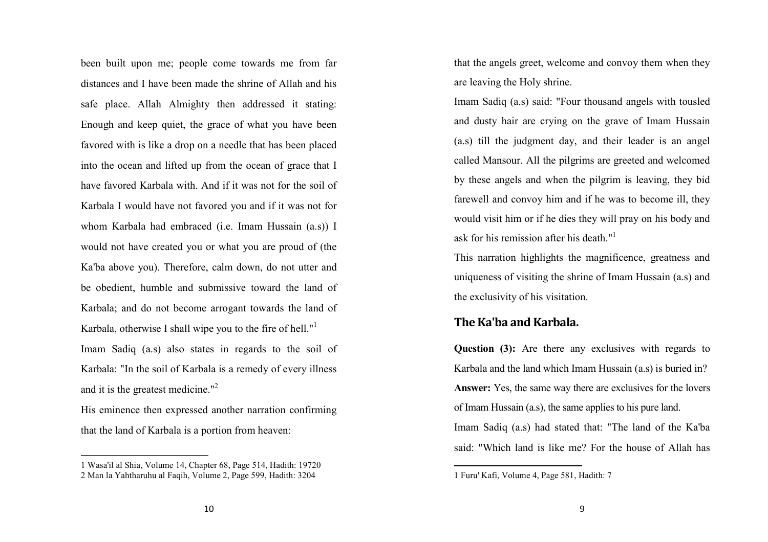been built upon me; people come towards me from fardistances and I have been made the shrine of Allah and his safe place. Allah Almighty then addressed it stating: Enough and keep quiet, the grace of what you have been favored with is like a drop on a needle that has been placed into the ocean and lifted up from the ocean of grace that I have favored Karbala with. And if it was not for the soil of Karbala I would have not favored you and if it was not for whom Karbala had embraced (i.e. Imam Hussain (a.s)) I would not have created you or what you are proud of (the Ka'ba above you). Therefore, calm down, do not utter and be obedient, humble and submissive toward the land of Karbala; and do not become arrogant towards the land of Karbala, otherwise I shall wipe you to the fire of hell."<sup>1</sup> Imam Sadiq (a.s) also states in regards to the soil of Karbala: "In the soil of Karbala is a remedy of every illness and it is the greatest medicine."<sup>2</sup>

His eminence then expressed another narration confirming that the land of Karbala is a portion from heaven:

that the angels greet, welcome and convoy them when they are leaving the Holy shrine.

Imam Sadiq (a.s) said: "Four thousand angels with tousled and dusty hair are crying on the grave of Imam Hussain (a.s) till the judgment day, and their leader is an angel called Mansour. All the pilgrims are greeted and welcomed by these angels and when the pilgrim is leaving, they bid farewell and convoy him and if he was to become ill, they would visit him or if he dies they will pray on his body and ask for his remission after his death."<sup>1</sup>

This narration highlights the magnificence, greatness and uniqueness of visiting the shrine of Imam Hussain (a.s) and the exclusivity of his visitation.

#### The Ka'ba and Karbala.

Question (3): Are there any exclusives with regards to Karbala and the land which Imam Hussain (a.s) is buried in? Answer: Yes, the same way there are exclusives for the lovers of Imam Hussain (a.s), the same applies to his pure land. Imam Sadiq (a.s) had stated that: "The land of the Ka'ba said: "Which land is like me? For the house of Allah has

<sup>1</sup> Wasa'il al Shia, Volume 14, Chapter 68, Page 514, Hadith: 19720 2 Man la Yahtharuhu al Faqih, Volume 2, Page 599, Hadith: 3204

<sup>1</sup> Furu' Kafi, Volume 4, Page 581, Hadith: 7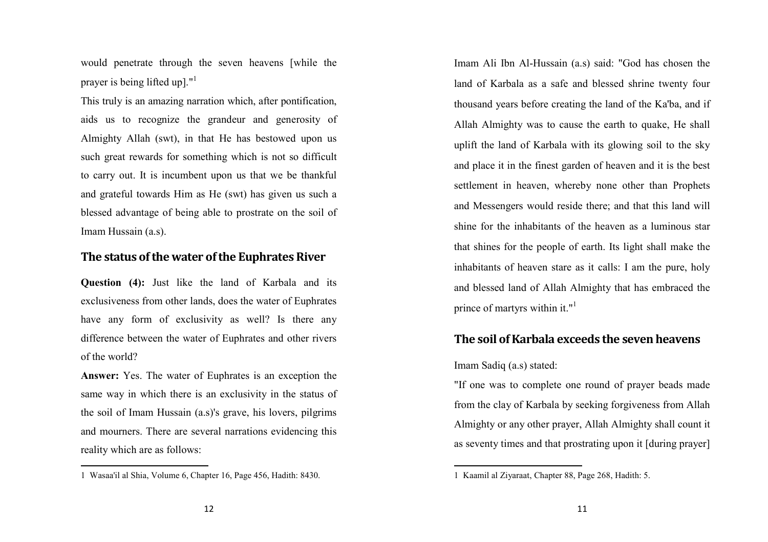would penetrate through the seven heavens [while the prayer is being lifted up]."<sup>1</sup>

This truly is an amazing narration which, after pontification, aids us to recognize the grandeur and generosity ofAlmighty Allah (swt), in that He has bestowed upon us such great rewards for something which is not so difficult to carry out. It is incumbent upon us that we be thankful and grateful towards Him as He (swt) has given us such a blessed advantage of being able to prostrate on the soil of Imam Hussain (a.s).

#### The status of the water of the Euphrates River

Question (4): Just like the land of Karbala and its exclusiveness from other lands, does the water of Euphrates have any form of exclusivity as well? Is there any difference between the water of Euphrates and other rivers of the world?

Answer: Yes. The water of Euphrates is an exception the same way in which there is an exclusivity in the status of the soil of Imam Hussain (a.s)'s grave, his lovers, pilgrims and mourners. There are several narrations evidencing this reality which are as follows:

Imam Ali Ibn Al-Hussain (a.s) said: "God has chosen the land of Karbala as a safe and blessed shrine twenty four thousand years before creating the land of the Ka'ba, and if Allah Almighty was to cause the earth to quake, He shall uplift the land of Karbala with its glowing soil to the sky and place it in the finest garden of heaven and it is the best settlement in heaven, whereby none other than Prophets and Messengers would reside there; and that this land will shine for the inhabitants of the heaven as a luminous star that shines for the people of earth. Its light shall make the inhabitants of heaven stare as it calls: I am the pure, holy and blessed land of Allah Almighty that has embraced the prince of martyrs within it."<sup>1</sup>

# The soil of Karbala exceeds the seven heavens

#### Imam Sadiq (a.s) stated:

"If one was to complete one round of prayer beads made from the clay of Karbala by seeking forgiveness from Allah Almighty or any other prayer, Allah Almighty shall count it as seventy times and that prostrating upon it [during prayer]

<sup>1</sup> Wasaa'il al Shia, Volume 6, Chapter 16, Page 456, Hadith: 8430.

<sup>1</sup> Kaamil al Ziyaraat, Chapter 88, Page 268, Hadith: 5.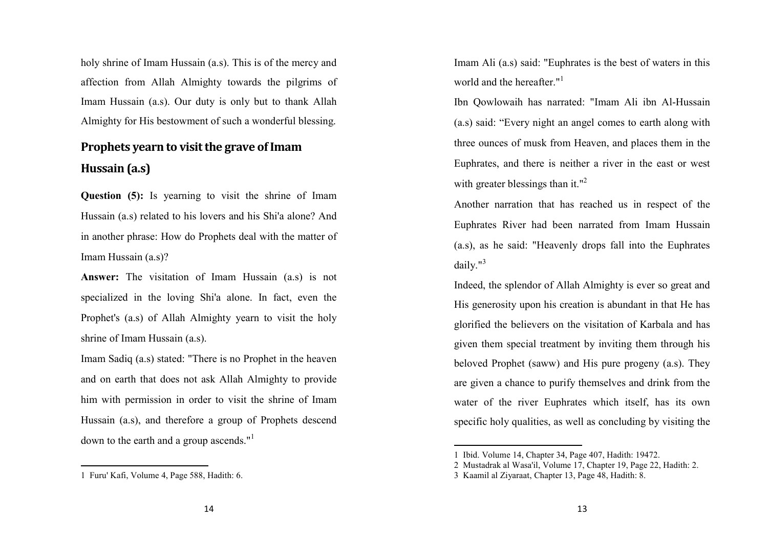holy shrine of Imam Hussain (a.s). This is of the mercy and affection from Allah Almighty towards the pilgrims of Imam Hussain (a.s). Our duty is only but to thank Allah Almighty for His bestowment of such a wonderful blessing.

# Prophets yearn to visit the grave of Imam Hussain (a.s)

Question (5): Is yearning to visit the shrine of Imam Hussain (a.s) related to his lovers and his Shi'a alone? And in another phrase: How do Prophets deal with the matter of Imam Hussain (a.s)?

Answer: The visitation of Imam Hussain (a.s) is not specialized in the loving Shi'a alone. In fact, even the Prophet's (a.s) of Allah Almighty yearn to visit the holy shrine of Imam Hussain (a.s).

Imam Sadiq (a.s) stated: "There is no Prophet in the heaven and on earth that does not ask Allah Almighty to provide him with permission in order to visit the shrine of Imam Hussain (a.s), and therefore a group of Prophets descend down to the earth and a group ascends."<sup>1</sup>

Imam Ali (a.s) said: "Euphrates is the best of waters in this world and the hereafter."<sup>1</sup>

Ibn Qowlowaih has narrated: "Imam Ali ibn Al-Hussain (a.s) said: "Every night an angel comes to earth along with three ounces of musk from Heaven, and places them in the Euphrates, and there is neither a river in the east or west with greater blessings than it."<sup>2</sup>

Another narration that has reached us in respect of the Euphrates River had been narrated from Imam Hussain(a.s), as he said: "Heavenly drops fall into the Euphrates daily." $3$ 

Indeed, the splendor of Allah Almighty is ever so great and His generosity upon his creation is abundant in that He has glorified the believers on the visitation of Karbala and has given them special treatment by inviting them through his beloved Prophet (saww) and His pure progeny (a.s). They are given a chance to purify themselves and drink from the water of the river Euphrates which itself, has its own specific holy qualities, as well as concluding by visiting the

<sup>1</sup> Furu' Kafi, Volume 4, Page 588, Hadith: 6.

<sup>1</sup> Ibid. Volume 14, Chapter 34, Page 407, Hadith: 19472.

2 Mustadrak al Wasa'il, Volume 17, Chapter 19, Page 22, Hadith: 2.

<sup>3</sup> Kaamil al Ziyaraat, Chapter 13, Page 48, Hadith: 8.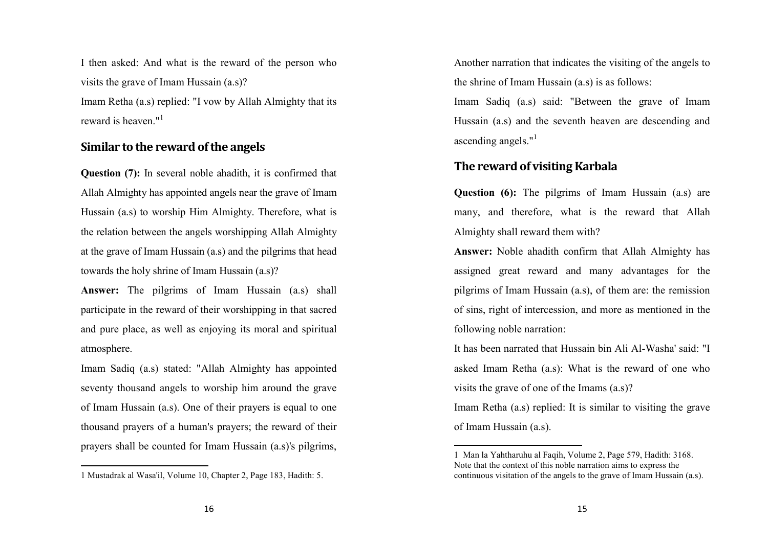I then asked: And what is the reward of the person who visits the grave of Imam Hussain (a.s)? Imam Retha (a.s) replied: "I vow by Allah Almighty that its reward is heaven." $1$ 

# Similar to the reward of the angels

Question (7): In several noble ahadith, it is confirmed that Allah Almighty has appointed angels near the grave of Imam Hussain (a.s) to worship Him Almighty. Therefore, what is the relation between the angels worshipping Allah Almighty at the grave of Imam Hussain (a.s) and the pilgrims that head towards the holy shrine of Imam Hussain (a.s)?

Answer: The pilgrims of Imam Hussain (a.s) shall participate in the reward of their worshipping in that sacred and pure place, as well as enjoying its moral and spiritual atmosphere.

Imam Sadiq (a.s) stated: "Allah Almighty has appointed seventy thousand angels to worship him around the grave of Imam Hussain (a.s). One of their prayers is equal to one thousand prayers of a human's prayers; the reward of their prayers shall be counted for Imam Hussain (a.s)'s pilgrims, Another narration that indicates the visiting of the angels to the shrine of Imam Hussain (a.s) is as follows:

Imam Sadiq (a.s) said: "Between the grave of Imam Hussain (a.s) and the seventh heaven are descending and ascending angels. $"$ <sup>1</sup>

## The reward of visiting Karbala

**Question (6):** The pilgrims of Imam Hussain (a.s) are many, and therefore, what is the reward that Allah Almighty shall reward them with?

Answer: Noble ahadith confirm that Allah Almighty has assigned great reward and many advantages for the pilgrims of Imam Hussain (a.s), of them are: the remission of sins, right of intercession, and more as mentioned in the following noble narration:

It has been narrated that Hussain bin Ali Al-Washa' said: "I asked Imam Retha (a.s): What is the reward of one who visits the grave of one of the Imams (a.s)?

Imam Retha (a.s) replied: It is similar to visiting the grave of Imam Hussain (a.s).

<sup>1</sup> Mustadrak al Wasa'il, Volume 10, Chapter 2, Page 183, Hadith: 5.

<sup>1</sup> Man la Yahtharuhu al Faqih, Volume 2, Page 579, Hadith: 3168. Note that the context of this noble narration aims to express the continuous visitation of the angels to the grave of Imam Hussain (a.s).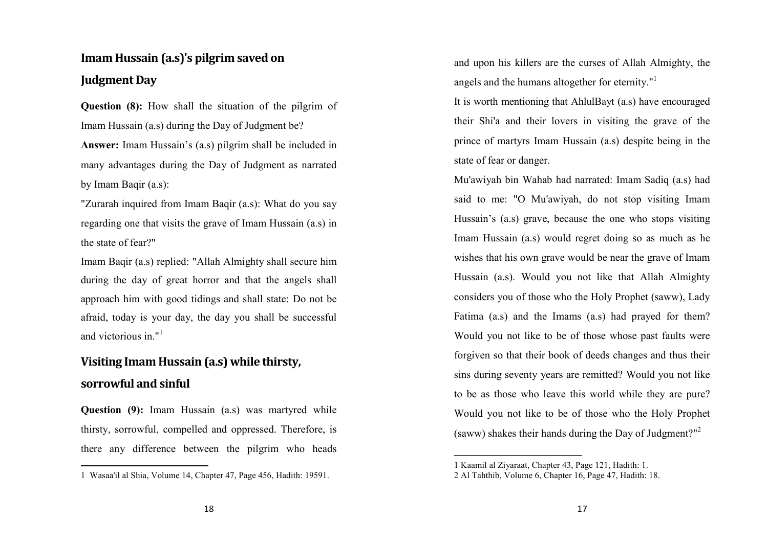# Imam Hussain (a.s)'s pilgrim saved on Judgment Day

Question (8): How shall the situation of the pilgrim of Imam Hussain (a.s) during the Day of Judgment be? Answer: Imam Hussain's (a.s) pilgrim shall be included in many advantages during the Day of Judgment as narrated by Imam Baqir (a.s):

"Zurarah inquired from Imam Baqir (a.s): What do you say regarding one that visits the grave of Imam Hussain (a.s) in the state of fear?"

Imam Baqir (a.s) replied: "Allah Almighty shall secure him during the day of great horror and that the angels shall approach him with good tidings and shall state: Do not be afraid, today is your day, the day you shall be successful and victorious in."<sup>1</sup>

# Visiting Imam Hussain (a.s) while thirsty, sorrowful and sinful

**Question (9):** Imam Hussain (a.s) was martyred while thirsty, sorrowful, compelled and oppressed. Therefore, is there any difference between the pilgrim who heads and upon his killers are the curses of Allah Almighty, the angels and the humans altogether for eternity."<sup>1</sup>

It is worth mentioning that AhlulBayt (a.s) have encouraged their Shi'a and their lovers in visiting the grave of the prince of martyrs Imam Hussain (a.s) despite being in the state of fear or danger.

Mu'awiyah bin Wahab had narrated: Imam Sadiq (a.s) had said to me: "O Mu'awiyah, do not stop visiting ImamHussain's (a.s) grave, because the one who stops visiting Imam Hussain (a.s) would regret doing so as much as he wishes that his own grave would be near the grave of Imam Hussain (a.s). Would you not like that Allah Almighty considers you of those who the Holy Prophet (saww), Lady Fatima (a.s) and the Imams (a.s) had prayed for them? Would you not like to be of those whose past faults were forgiven so that their book of deeds changes and thus their sins during seventy years are remitted? Would you not like to be as those who leave this world while they are pure? Would you not like to be of those who the Holy Prophet (saww) shakes their hands during the Day of Judgment?"<sup>2</sup>

<sup>1</sup> Wasaa'il al Shia, Volume 14, Chapter 47, Page 456, Hadith: 19591.

<sup>1</sup> Kaamil al Ziyaraat, Chapter 43, Page 121, Hadith: 1.

2 Al Tahthib, Volume 6, Chapter 16, Page 47, Hadith: 18.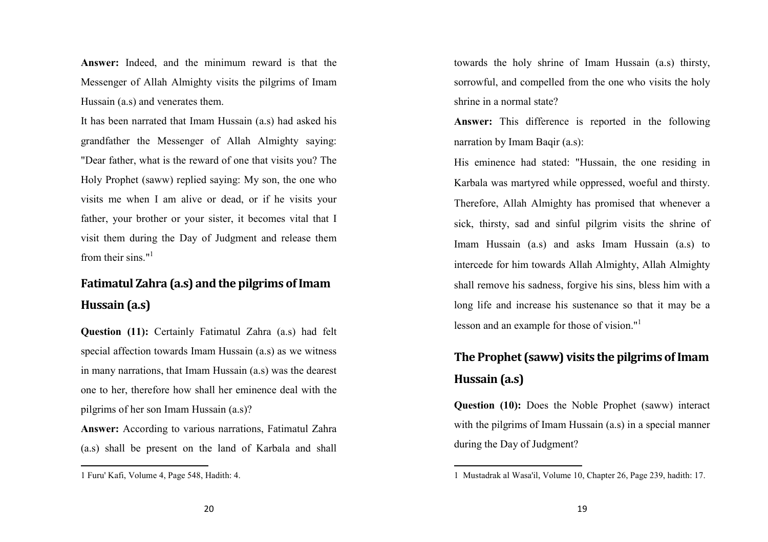Answer: Indeed, and the minimum reward is that the Messenger of Allah Almighty visits the pilgrims of Imam Hussain (a.s) and venerates them.

It has been narrated that Imam Hussain (a.s) had asked his grandfather the Messenger of Allah Almighty saying:"Dear father, what is the reward of one that visits you? The Holy Prophet (saww) replied saying: My son, the one who visits me when I am alive or dead, or if he visits your father, your brother or your sister, it becomes vital that I visit them during the Day of Judgment and release them from their sins."<sup>1</sup>

# Fatimatul Zahra (a.s) and the pilgrims of Imam Hussain (a.s)

Question (11): Certainly Fatimatul Zahra (a.s) had felt special affection towards Imam Hussain (a.s) as we witness in many narrations, that Imam Hussain (a.s) was the dearest one to her, therefore how shall her eminence deal with the pilgrims of her son Imam Hussain (a.s)?

Answer: According to various narrations, Fatimatul Zahra (a.s) shall be present on the land of Karbala and shall towards the holy shrine of Imam Hussain (a.s) thirsty, sorrowful, and compelled from the one who visits the holy shrine in a normal state?

Answer: This difference is reported in the following narration by Imam Baqir (a.s):

His eminence had stated: "Hussain, the one residing in Karbala was martyred while oppressed, woeful and thirsty. Therefore, Allah Almighty has promised that whenever a sick, thirsty, sad and sinful pilgrim visits the shrine of Imam Hussain (a.s) and asks Imam Hussain (a.s) to intercede for him towards Allah Almighty, Allah Almighty shall remove his sadness, forgive his sins, bless him with a long life and increase his sustenance so that it may be a lesson and an example for those of vision."<sup>1</sup>

# The Prophet (saww) visits the pilgrims of Imam Hussain (a.s)

Question (10): Does the Noble Prophet (saww) interact with the pilgrims of Imam Hussain (a.s) in a special manner during the Day of Judgment?

<sup>1</sup> Furu' Kafi, Volume 4, Page 548, Hadith: 4.

<sup>1</sup> Mustadrak al Wasa'il, Volume 10, Chapter 26, Page 239, hadith: 17.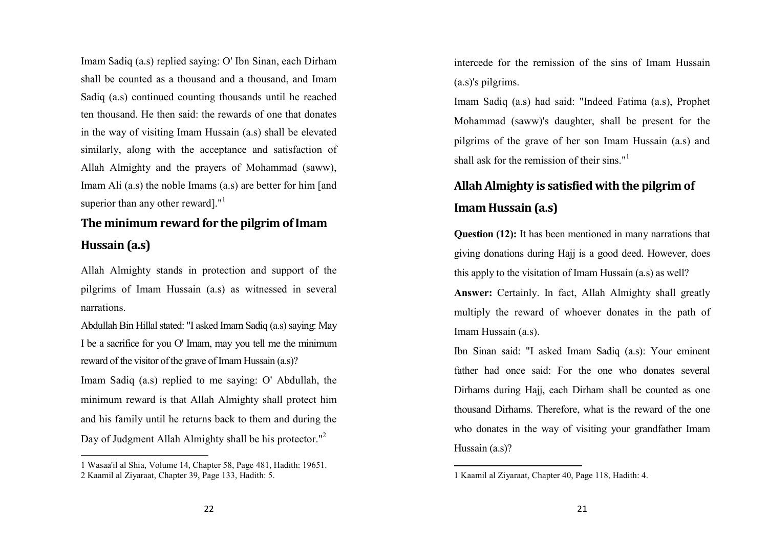Imam Sadiq (a.s) replied saying: O' Ibn Sinan, each Dirham shall be counted as a thousand and a thousand, and Imam Sadiq (a.s) continued counting thousands until he reached ten thousand. He then said: the rewards of one that donates in the way of visiting Imam Hussain (a.s) shall be elevated similarly, along with the acceptance and satisfaction of Allah Almighty and the prayers of Mohammad (saww), Imam Ali (a.s) the noble Imams (a.s) are better for him [and superior than any other reward]."<sup>1</sup>

# The minimum reward for the pilgrim of Imam Hussain (a.s)

Allah Almighty stands in protection and support of the pilgrims of Imam Hussain (a.s) as witnessed in several narrations.

Abdullah Bin Hillal stated: "I asked Imam Sadiq (a.s) saying: May I be a sacrifice for you O' Imam, may you tell me the minimum reward of the visitor of the grave of Imam Hussain (a.s)?

Imam Sadiq (a.s) replied to me saying: O' Abdullah, the minimum reward is that Allah Almighty shall protect him and his family until he returns back to them and during the Day of Judgment Allah Almighty shall be his protector."<sup>2</sup>

intercede for the remission of the sins of Imam Hussain (a.s)'s pilgrims.

Imam Sadiq (a.s) had said: "Indeed Fatima (a.s), Prophet Mohammad (saww)'s daughter, shall be present for the pilgrims of the grave of her son Imam Hussain (a.s) and shall ask for the remission of their sins."<sup>1</sup>

# Allah Almighty is satisfied with the pilgrim of Imam Hussain (a.s)

Question (12): It has been mentioned in many narrations that giving donations during Hajj is a good deed. However, does this apply to the visitation of Imam Hussain (a.s) as well?

Answer: Certainly. In fact, Allah Almighty shall greatly multiply the reward of whoever donates in the path of Imam Hussain (a.s).

Ibn Sinan said: "I asked Imam Sadiq (a.s): Your eminent father had once said: For the one who donates several Dirhams during Hajj, each Dirham shall be counted as one thousand Dirhams. Therefore, what is the reward of the one who donates in the way of visiting your grandfather Imam Hussain (a.s)?

<sup>1</sup> Wasaa'il al Shia, Volume 14, Chapter 58, Page 481, Hadith: 19651. 2 Kaamil al Ziyaraat, Chapter 39, Page 133, Hadith: 5.

<sup>1</sup> Kaamil al Ziyaraat, Chapter 40, Page 118, Hadith: 4.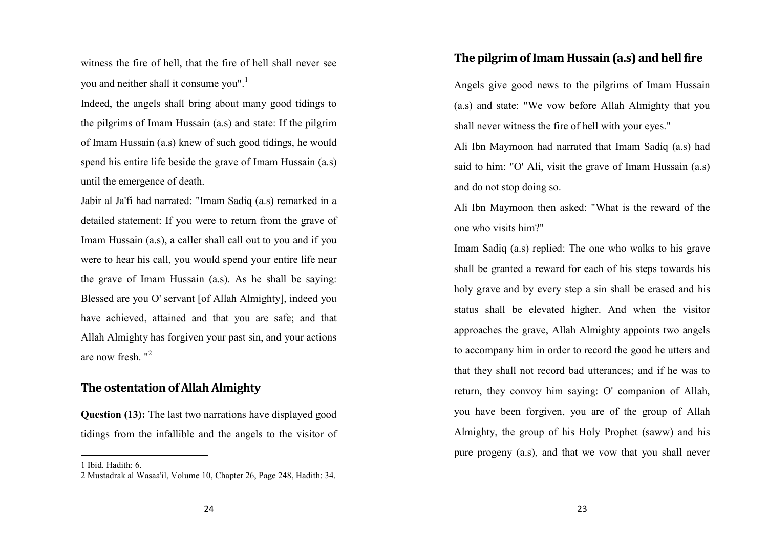witness the fire of hell, that the fire of hell shall never see you and neither shall it consume you".<sup>1</sup>

Indeed, the angels shall bring about many good tidings to the pilgrims of Imam Hussain (a.s) and state: If the pilgrim of Imam Hussain (a.s) knew of such good tidings, he would spend his entire life beside the grave of Imam Hussain (a.s) until the emergence of death.

Jabir al Ja'fi had narrated: "Imam Sadiq (a.s) remarked in a detailed statement: If you were to return from the grave of Imam Hussain (a.s), a caller shall call out to you and if you were to hear his call, you would spend your entire life near the grave of Imam Hussain (a.s). As he shall be saying: Blessed are you O' servant [of Allah Almighty], indeed you have achieved, attained and that you are safe; and that Allah Almighty has forgiven your past sin, and your actions are now fresh. "<sup>2</sup>

#### The ostentation of Allah Almighty

Question (13): The last two narrations have displayed good tidings from the infallible and the angels to the visitor of

#### The pilgrim of Imam Hussain (a.s) and hell fire

Angels give good news to the pilgrims of Imam Hussain (a.s) and state: "We vow before Allah Almighty that you shall never witness the fire of hell with your eyes."

Ali Ibn Maymoon had narrated that Imam Sadiq (a.s) had said to him: "O' Ali, visit the grave of Imam Hussain (a.s) and do not stop doing so.

Ali Ibn Maymoon then asked: "What is the reward of the one who visits him?"

Imam Sadiq (a.s) replied: The one who walks to his grave shall be granted a reward for each of his steps towards his holy grave and by every step a sin shall be erased and his status shall be elevated higher. And when the visitor approaches the grave, Allah Almighty appoints two angels to accompany him in order to record the good he utters and that they shall not record bad utterances; and if he was to return, they convoy him saying: O' companion of Allah, you have been forgiven, you are of the group of Allah Almighty, the group of his Holy Prophet (saww) and his pure progeny (a.s), and that we vow that you shall never

<sup>1</sup> Ibid. Hadith: 6.

2 Mustadrak al Wasaa'il, Volume 10, Chapter 26, Page 248, Hadith: 34.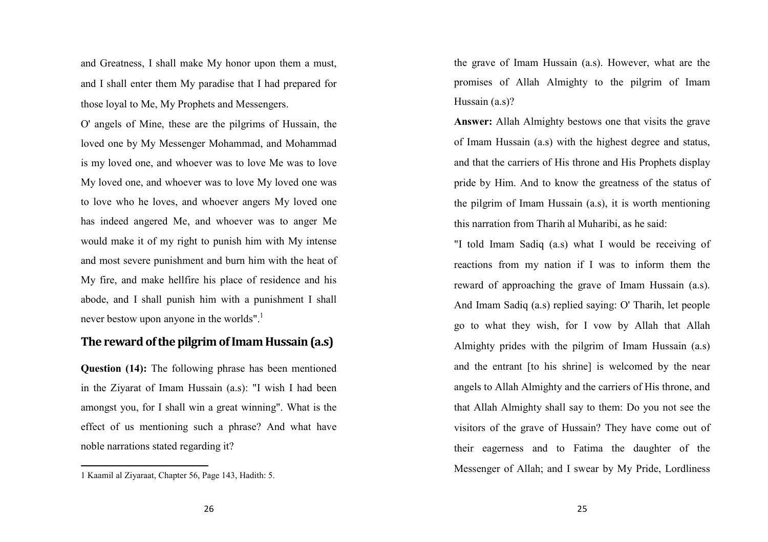and Greatness, I shall make My honor upon them a must, and I shall enter them My paradise that I had prepared for those loyal to Me, My Prophets and Messengers.

O' angels of Mine, these are the pilgrims of Hussain, the loved one by My Messenger Mohammad, and Mohammad is my loved one, and whoever was to love Me was to love My loved one, and whoever was to love My loved one was to love who he loves, and whoever angers My loved one has indeed angered Me, and whoever was to anger Me would make it of my right to punish him with My intense and most severe punishment and burn him with the heat of My fire, and make hellfire his place of residence and his abode, and I shall punish him with a punishment I shall never bestow upon anyone in the worlds".<sup>1</sup>

## The reward of the pilgrim of Imam Hussain (a.s)

Question (14): The following phrase has been mentioned in the Ziyarat of Imam Hussain (a.s): "I wish I had been amongst you, for I shall win a great winning". What is the effect of us mentioning such a phrase? And what have noble narrations stated regarding it?

the grave of Imam Hussain (a.s). However, what are the promises of Allah Almighty to the pilgrim of Imam Hussain (a.s)?

Answer: Allah Almighty bestows one that visits the grave of Imam Hussain (a.s) with the highest degree and status, and that the carriers of His throne and His Prophets display pride by Him. And to know the greatness of the status of the pilgrim of Imam Hussain (a.s), it is worth mentioning this narration from Tharih al Muharibi, as he said:

"I told Imam Sadiq (a.s) what I would be receiving of reactions from my nation if I was to inform them the reward of approaching the grave of Imam Hussain (a.s). And Imam Sadiq (a.s) replied saying: O' Tharih, let people go to what they wish, for I vow by Allah that AllahAlmighty prides with the pilgrim of Imam Hussain (a.s) and the entrant [to his shrine] is welcomed by the near angels to Allah Almighty and the carriers of His throne, and that Allah Almighty shall say to them: Do you not see the visitors of the grave of Hussain? They have come out of their eagerness and to Fatima the daughter of the Messenger of Allah; and I swear by My Pride, Lordliness

<sup>1</sup> Kaamil al Ziyaraat, Chapter 56, Page 143, Hadith: 5.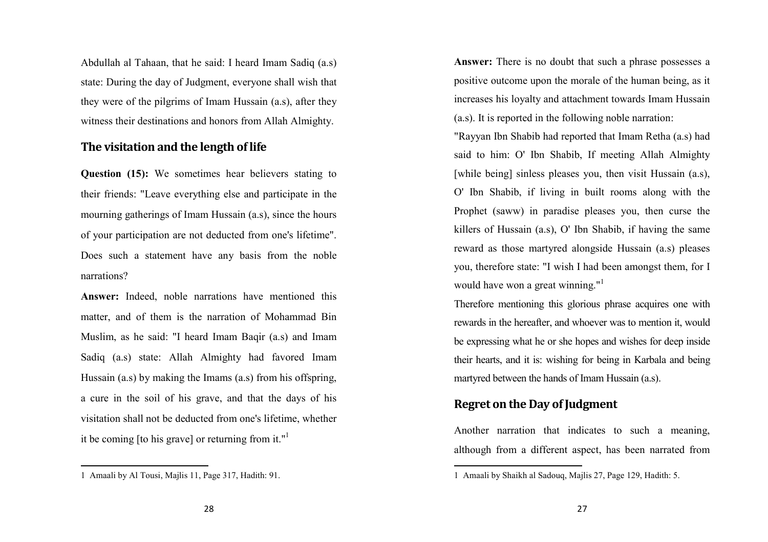Abdullah al Tahaan, that he said: I heard Imam Sadiq (a.s) state: During the day of Judgment, everyone shall wish that they were of the pilgrims of Imam Hussain (a.s), after they witness their destinations and honors from Allah Almighty.

# The visitation and the length of life

Question (15): We sometimes hear believers stating to their friends: "Leave everything else and participate in the mourning gatherings of Imam Hussain (a.s), since the hours of your participation are not deducted from one's lifetime". Does such a statement have any basis from the noblenarrations?

Answer: Indeed, noble narrations have mentioned this matter, and of them is the narration of Mohammad Bin Muslim, as he said: "I heard Imam Baqir (a.s) and Imam Sadiq (a.s) state: Allah Almighty had favored Imam Hussain (a.s) by making the Imams (a.s) from his offspring, a cure in the soil of his grave, and that the days of his visitation shall not be deducted from one's lifetime, whether it be coming [to his grave] or returning from it." $\frac{1}{1}$ 

Answer: There is no doubt that such a phrase possesses a positive outcome upon the morale of the human being, as it increases his loyalty and attachment towards Imam Hussain (a.s). It is reported in the following noble narration:

"Rayyan Ibn Shabib had reported that Imam Retha (a.s) had said to him: O' Ibn Shabib, If meeting Allah Almighty [while being] sinless pleases you, then visit Hussain (a.s), O' Ibn Shabib, if living in built rooms along with the Prophet (saww) in paradise pleases you, then curse the killers of Hussain (a.s), O' Ibn Shabib, if having the same reward as those martyred alongside Hussain (a.s) pleases you, therefore state: "I wish I had been amongst them, for I would have won a great winning."<sup>1</sup>

Therefore mentioning this glorious phrase acquires one with rewards in the hereafter, and whoever was to mention it, would be expressing what he or she hopes and wishes for deep inside their hearts, and it is: wishing for being in Karbala and being martyred between the hands of Imam Hussain (a.s).

# Regret on the Day of Judgment

Another narration that indicates to such a meaning,although from a different aspect, has been narrated from

<sup>1</sup> Amaali by Al Tousi, Majlis 11, Page 317, Hadith: 91.

<sup>1</sup> Amaali by Shaikh al Sadouq, Majlis 27, Page 129, Hadith: 5.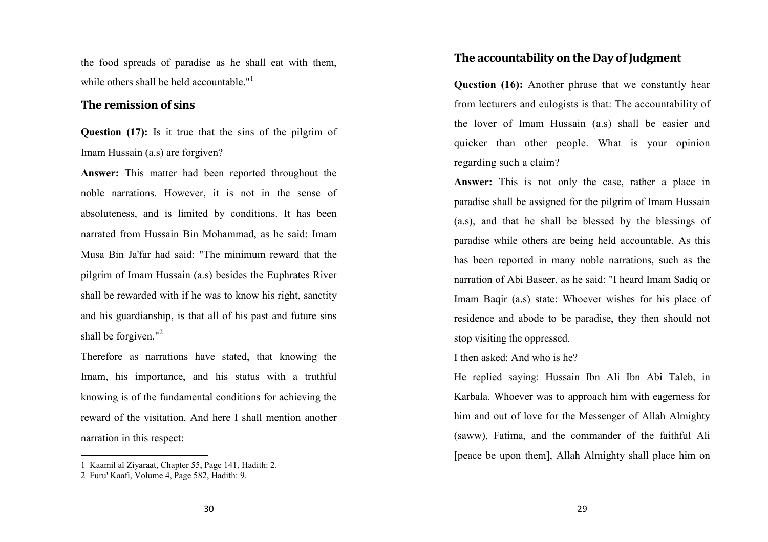the food spreads of paradise as he shall eat with them, while others shall be held accountable."<sup>1</sup>

#### The remission of sins

Question (17): Is it true that the sins of the pilgrim of Imam Hussain (a.s) are forgiven?

Answer: This matter had been reported throughout the noble narrations. However, it is not in the sense of absoluteness, and is limited by conditions. It has been narrated from Hussain Bin Mohammad, as he said: Imam Musa Bin Ja'far had said: "The minimum reward that the pilgrim of Imam Hussain (a.s) besides the Euphrates River shall be rewarded with if he was to know his right, sanctity and his guardianship, is that all of his past and future sins shall be forgiven."<sup>2</sup>

Therefore as narrations have stated, that knowing the Imam, his importance, and his status with a truthful knowing is of the fundamental conditions for achieving the reward of the visitation. And here I shall mention another narration in this respect:

#### The accountability on the Day of Judgment

Question (16): Another phrase that we constantly hear from lecturers and eulogists is that: The accountability of the lover of Imam Hussain (a.s) shall be easier andquicker than other people. What is your opinion regarding such a claim?

Answer: This is not only the case, rather a place in paradise shall be assigned for the pilgrim of Imam Hussain (a.s), and that he shall be blessed by the blessings of paradise while others are being held accountable. As this has been reported in many noble narrations, such as the narration of Abi Baseer, as he said: "I heard Imam Sadiq or Imam Baqir (a.s) state: Whoever wishes for his place of residence and abode to be paradise, they then should not stop visiting the oppressed.

#### I then asked: And who is he?

He replied saying: Hussain Ibn Ali Ibn Abi Taleb, in Karbala. Whoever was to approach him with eagerness for him and out of love for the Messenger of Allah Almighty (saww), Fatima, and the commander of the faithful Ali [peace be upon them], Allah Almighty shall place him on

<sup>1</sup> Kaamil al Ziyaraat, Chapter 55, Page 141, Hadith: 2.

<sup>2</sup> Furu' Kaafi, Volume 4, Page 582, Hadith: 9.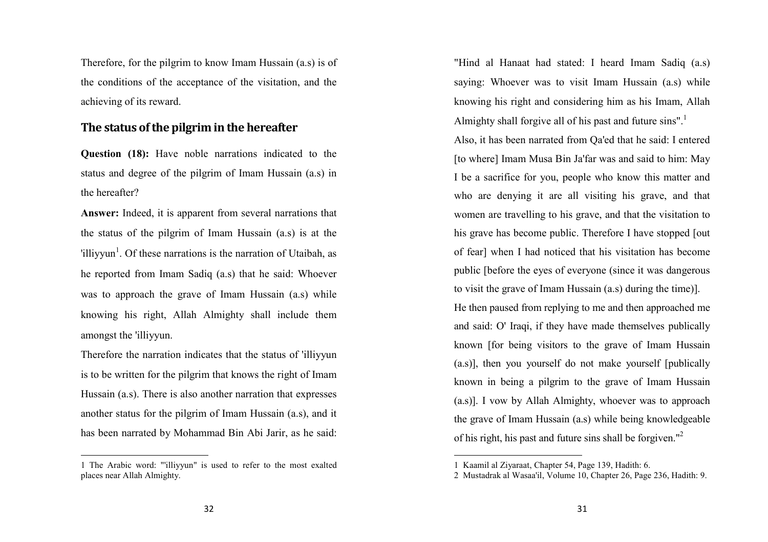Therefore, for the pilgrim to know Imam Hussain (a.s) is of the conditions of the acceptance of the visitation, and the achieving of its reward.

## The status of the pilgrim in the hereafter

Question (18): Have noble narrations indicated to the status and degree of the pilgrim of Imam Hussain (a.s) in the hereafter?

Answer: Indeed, it is apparent from several narrations that the status of the pilgrim of Imam Hussain (a.s) is at the 'illiyyun<sup>1</sup>. Of these narrations is the narration of Utaibah, as he reported from Imam Sadiq (a.s) that he said: Whoever was to approach the grave of Imam Hussain (a.s) while knowing his right, Allah Almighty shall include them amongst the 'illiyyun.

Therefore the narration indicates that the status of 'illiyyun is to be written for the pilgrim that knows the right of Imam Hussain (a.s). There is also another narration that expresses another status for the pilgrim of Imam Hussain (a.s), and it has been narrated by Mohammad Bin Abi Jarir, as he said:

"Hind al Hanaat had stated: I heard Imam Sadiq (a.s) saying: Whoever was to visit Imam Hussain (a.s) while knowing his right and considering him as his Imam, Allah Almighty shall forgive all of his past and future sins".<sup>1</sup>

Also, it has been narrated from Qa'ed that he said: I entered [to where] Imam Musa Bin Ja'far was and said to him: May I be a sacrifice for you, people who know this matter and who are denying it are all visiting his grave, and that women are travelling to his grave, and that the visitation to his grave has become public. Therefore I have stopped [out of fear] when I had noticed that his visitation has become public [before the eyes of everyone (since it was dangerous to visit the grave of Imam Hussain (a.s) during the time)].

He then paused from replying to me and then approached me and said: O' Iraqi, if they have made themselves publically known [for being visitors to the grave of Imam Hussain (a.s)], then you yourself do not make yourself [publically known in being a pilgrim to the grave of Imam Hussain (a.s)]. I vow by Allah Almighty, whoever was to approach the grave of Imam Hussain (a.s) while being knowledgeable of his right, his past and future sins shall be forgiven."<sup>2</sup>

<sup>1</sup> The Arabic word: "'illiyyun" is used to refer to the most exalted places near Allah Almighty.

<sup>1</sup> Kaamil al Ziyaraat, Chapter 54, Page 139, Hadith: 6.

2 Mustadrak al Wasaa'il, Volume 10, Chapter 26, Page 236, Hadith: 9.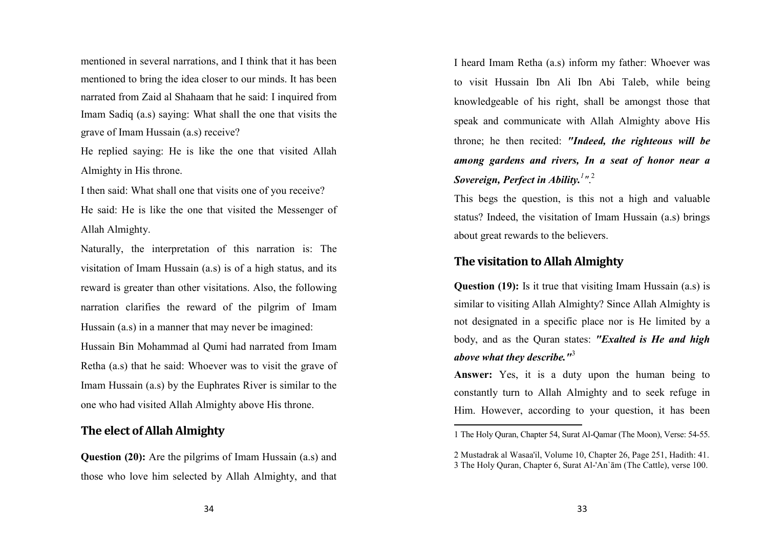mentioned in several narrations, and I think that it has been mentioned to bring the idea closer to our minds. It has been narrated from Zaid al Shahaam that he said: I inquired from Imam Sadiq (a.s) saying: What shall the one that visits the grave of Imam Hussain (a.s) receive?

He replied saying: He is like the one that visited Allah Almighty in His throne.

I then said: What shall one that visits one of you receive? He said: He is like the one that visited the Messenger of Allah Almighty.

Naturally, the interpretation of this narration is: The visitation of Imam Hussain (a.s) is of a high status, and its reward is greater than other visitations. Also, the following narration clarifies the reward of the pilgrim of Imam Hussain (a.s) in a manner that may never be imagined: Hussain Bin Mohammad al Qumi had narrated from ImamRetha (a.s) that he said: Whoever was to visit the grave of Imam Hussain (a.s) by the Euphrates River is similar to the one who had visited Allah Almighty above His throne.

## The elect of Allah Almighty

Question (20): Are the pilgrims of Imam Hussain (a.s) and those who love him selected by Allah Almighty, and that I heard Imam Retha (a.s) inform my father: Whoever was to visit Hussain Ibn Ali Ibn Abi Taleb, while beingknowledgeable of his right, shall be amongst those that speak and communicate with Allah Almighty above Histhrone; he then recited: "Indeed, the righteous will be among gardens and rivers, In a seat of honor near aSovereign, Perfect in Ability. $^{1}$ ". $^{2}$ 

This begs the question, is this not a high and valuable status? Indeed, the visitation of Imam Hussain (a.s) brings about great rewards to the believers.

# The visitation to Allah Almighty

**Question (19):** Is it true that visiting Imam Hussain (a.s) is similar to visiting Allah Almighty? Since Allah Almighty is not designated in a specific place nor is He limited by a body, and as the Quran states: "Exalted is He and high above what they describe."<sup>3</sup>

Answer: Yes, it is a duty upon the human being to constantly turn to Allah Almighty and to seek refuge in Him. However, according to your question, it has been

<sup>1</sup> The Holy Quran, Chapter 54, Surat Al-Qamar (The Moon), Verse: 54-55.

<sup>2</sup> Mustadrak al Wasaa'il, Volume 10, Chapter 26, Page 251, Hadith: 41. 3 The Holy Quran, Chapter 6, Surat Al-'An`ām (The Cattle), verse 100.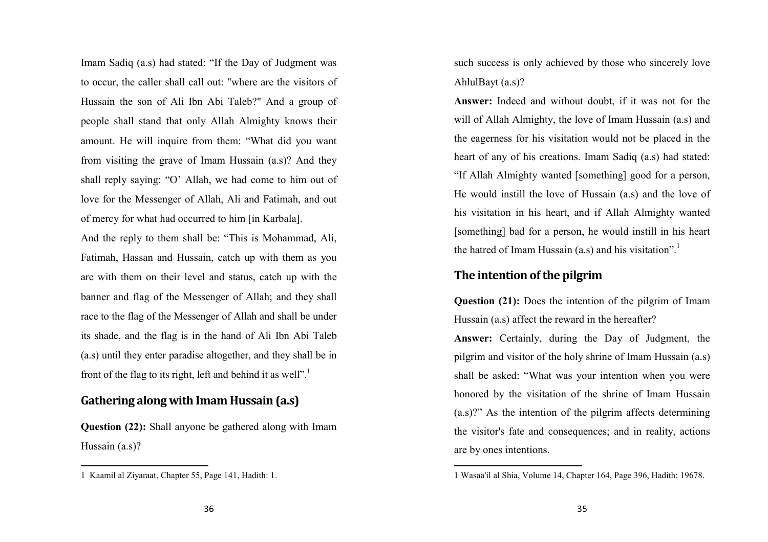Imam Sadiq (a.s) had stated: "If the Day of Judgment was to occur, the caller shall call out: "where are the visitors of Hussain the son of Ali Ibn Abi Taleb?" And a group of people shall stand that only Allah Almighty knows their amount. He will inquire from them: "What did you want from visiting the grave of Imam Hussain (a.s)? And they shall reply saying: "O' Allah, we had come to him out of love for the Messenger of Allah, Ali and Fatimah, and out of mercy for what had occurred to him [in Karbala].

And the reply to them shall be: "This is Mohammad, Ali, Fatimah, Hassan and Hussain, catch up with them as you are with them on their level and status, catch up with the banner and flag of the Messenger of Allah; and they shall race to the flag of the Messenger of Allah and shall be under its shade, and the flag is in the hand of Ali Ibn Abi Taleb (a.s) until they enter paradise altogether, and they shall be in front of the flag to its right, left and behind it as well".<sup>1</sup>

# Gathering along with Imam Hussain (a.s)

**Question (22):** Shall anyone be gathered along with Imam Hussain (a.s)?

such success is only achieved by those who sincerely love AhlulBayt (a.s)?

Answer: Indeed and without doubt, if it was not for the will of Allah Almighty, the love of Imam Hussain (a.s) and the eagerness for his visitation would not be placed in the heart of any of his creations. Imam Sadiq (a.s) had stated: "If Allah Almighty wanted [something] good for a person, He would instill the love of Hussain (a.s) and the love of his visitation in his heart, and if Allah Almighty wanted [something] bad for a person, he would instill in his heart the hatred of Imam Hussain (a.s) and his visitation".<sup>1</sup>

#### The intention of the pilgrim

Question (21): Does the intention of the pilgrim of Imam Hussain (a.s) affect the reward in the hereafter?

Answer: Certainly, during the Day of Judgment, the pilgrim and visitor of the holy shrine of Imam Hussain (a.s) shall be asked: "What was your intention when you were honored by the visitation of the shrine of Imam Hussain (a.s)?" As the intention of the pilgrim affects determining the visitor's fate and consequences; and in reality, actions are by ones intentions.

<sup>1</sup> Kaamil al Ziyaraat, Chapter 55, Page 141, Hadith: 1.

<sup>1</sup> Wasaa'il al Shia, Volume 14, Chapter 164, Page 396, Hadith: 19678.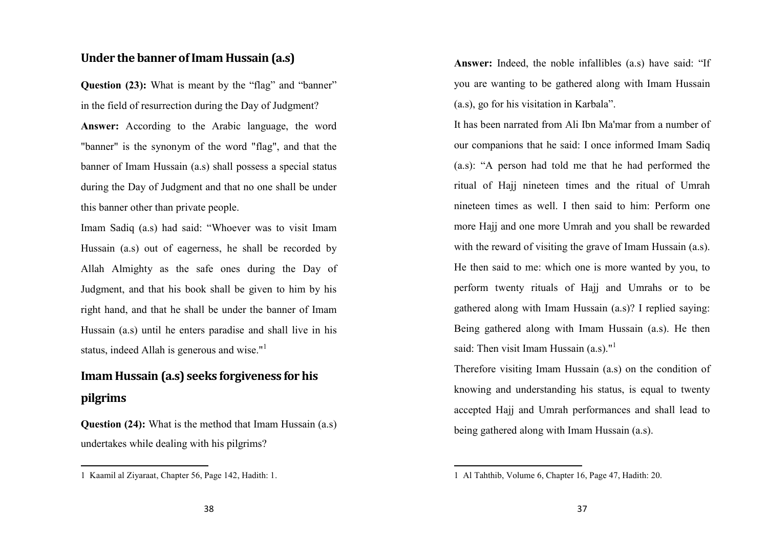#### Under the banner of Imam Hussain (a.s)

Question (23): What is meant by the "flag" and "banner" in the field of resurrection during the Day of Judgment? Answer: According to the Arabic language, the word "banner" is the synonym of the word "flag", and that the banner of Imam Hussain (a.s) shall possess a special status during the Day of Judgment and that no one shall be under this banner other than private people.

Imam Sadiq (a.s) had said: "Whoever was to visit Imam Hussain (a.s) out of eagerness, he shall be recorded by Allah Almighty as the safe ones during the Day of Judgment, and that his book shall be given to him by his right hand, and that he shall be under the banner of Imam Hussain (a.s) until he enters paradise and shall live in his status, indeed Allah is generous and wise."<sup>1</sup>

# Imam Hussain (a.s) seeks forgiveness for his pilgrims

Question (24): What is the method that Imam Hussain (a.s) undertakes while dealing with his pilgrims?

Answer: Indeed, the noble infallibles (a.s) have said: "Ifyou are wanting to be gathered along with Imam Hussain (a.s), go for his visitation in Karbala".

It has been narrated from Ali Ibn Ma'mar from a number of our companions that he said: I once informed Imam Sadiq (a.s): "A person had told me that he had performed the ritual of Hajj nineteen times and the ritual of Umrah nineteen times as well. I then said to him: Perform one more Hajj and one more Umrah and you shall be rewarded with the reward of visiting the grave of Imam Hussain (a.s). He then said to me: which one is more wanted by you, to perform twenty rituals of Hajj and Umrahs or to be gathered along with Imam Hussain (a.s)? I replied saying: Being gathered along with Imam Hussain (a.s). He then said: Then visit Imam Hussain  $(a.s)^{n^1}$ 

Therefore visiting Imam Hussain (a.s) on the condition of knowing and understanding his status, is equal to twenty accepted Hajj and Umrah performances and shall lead to being gathered along with Imam Hussain (a.s).

<sup>1</sup> Kaamil al Ziyaraat, Chapter 56, Page 142, Hadith: 1.

<sup>1</sup> Al Tahthib, Volume 6, Chapter 16, Page 47, Hadith: 20.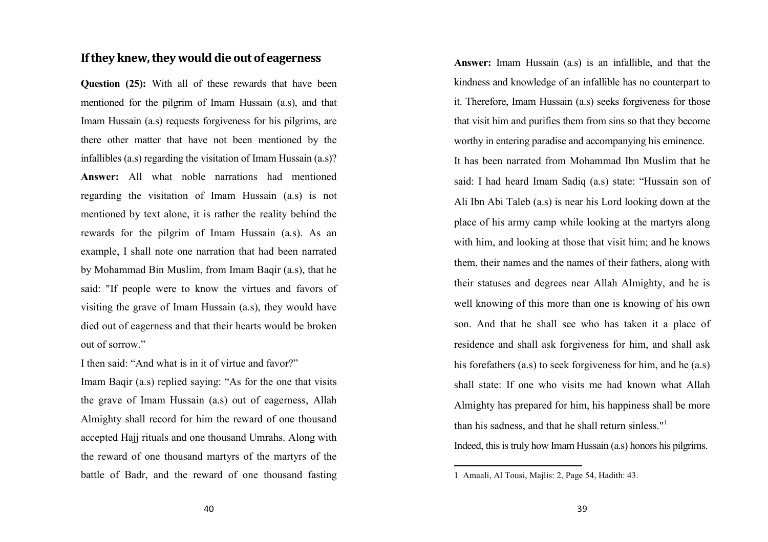# If they knew, they would die out of eagerness

Question (25): With all of these rewards that have been mentioned for the pilgrim of Imam Hussain (a.s), and that Imam Hussain (a.s) requests forgiveness for his pilgrims, are there other matter that have not been mentioned by the infallibles (a.s) regarding the visitation of Imam Hussain (a.s)?Answer: All what noble narrations had mentioned regarding the visitation of Imam Hussain (a.s) is not mentioned by text alone, it is rather the reality behind the rewards for the pilgrim of Imam Hussain (a.s). As an example, I shall note one narration that had been narrated by Mohammad Bin Muslim, from Imam Baqir (a.s), that he said: "If people were to know the virtues and favors of visiting the grave of Imam Hussain (a.s), they would have died out of eagerness and that their hearts would be broken out of sorrow."

I then said: "And what is in it of virtue and favor?" Imam Baqir (a.s) replied saying: "As for the one that visits the grave of Imam Hussain (a.s) out of eagerness, Allah Almighty shall record for him the reward of one thousand accepted Hajj rituals and one thousand Umrahs. Along with the reward of one thousand martyrs of the martyrs of the battle of Badr, and the reward of one thousand fasting

Answer: Imam Hussain (a.s) is an infallible, and that the kindness and knowledge of an infallible has no counterpart to it. Therefore, Imam Hussain (a.s) seeks forgiveness for those that visit him and purifies them from sins so that they become worthy in entering paradise and accompanying his eminence.

It has been narrated from Mohammad Ibn Muslim that he said: I had heard Imam Sadiq (a.s) state: "Hussain son of Ali Ibn Abi Taleb (a.s) is near his Lord looking down at the place of his army camp while looking at the martyrs along with him, and looking at those that visit him; and he knows them, their names and the names of their fathers, along with their statuses and degrees near Allah Almighty, and he is well knowing of this more than one is knowing of his own son. And that he shall see who has taken it a place of residence and shall ask forgiveness for him, and shall ask his forefathers (a.s) to seek forgiveness for him, and he (a.s) shall state: If one who visits me had known what Allah Almighty has prepared for him, his happiness shall be more than his sadness, and that he shall return sinless." $1$ 

Indeed, this is truly how Imam Hussain (a.s) honors his pilgrims.

<sup>1</sup> Amaali, Al Tousi, Majlis: 2, Page 54, Hadith: 43.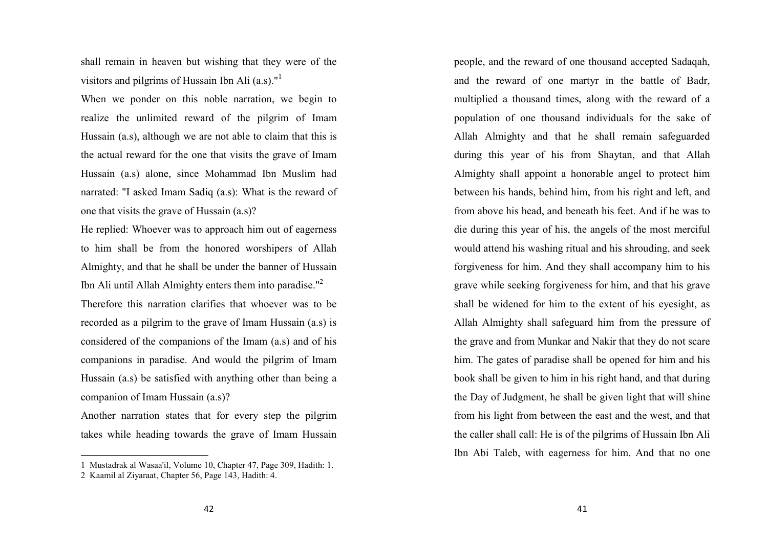shall remain in heaven but wishing that they were of the visitors and pilgrims of Hussain Ibn Ali  $(a.s)^{n^1}$ 

When we ponder on this noble narration, we begin torealize the unlimited reward of the pilgrim of ImamHussain (a.s), although we are not able to claim that this is the actual reward for the one that visits the grave of Imam Hussain (a.s) alone, since Mohammad Ibn Muslim had narrated: "I asked Imam Sadiq (a.s): What is the reward of one that visits the grave of Hussain (a.s)?

He replied: Whoever was to approach him out of eagerness to him shall be from the honored worshipers of Allah Almighty, and that he shall be under the banner of Hussain Ibn Ali until Allah Almighty enters them into paradise."<sup>2</sup>

Therefore this narration clarifies that whoever was to be recorded as a pilgrim to the grave of Imam Hussain (a.s) is considered of the companions of the Imam (a.s) and of his companions in paradise. And would the pilgrim of Imam Hussain (a.s) be satisfied with anything other than being a companion of Imam Hussain (a.s)?

Another narration states that for every step the pilgrim takes while heading towards the grave of Imam Hussain people, and the reward of one thousand accepted Sadaqah, and the reward of one martyr in the battle of Badr,multiplied a thousand times, along with the reward of a population of one thousand individuals for the sake of Allah Almighty and that he shall remain safeguardedduring this year of his from Shaytan, and that Allah Almighty shall appoint a honorable angel to protect him between his hands, behind him, from his right and left, and from above his head, and beneath his feet. And if he was to die during this year of his, the angels of the most merciful would attend his washing ritual and his shrouding, and seek forgiveness for him. And they shall accompany him to his grave while seeking forgiveness for him, and that his grave shall be widened for him to the extent of his eyesight, as Allah Almighty shall safeguard him from the pressure of the grave and from Munkar and Nakir that they do not scare him. The gates of paradise shall be opened for him and his book shall be given to him in his right hand, and that during the Day of Judgment, he shall be given light that will shine from his light from between the east and the west, and that the caller shall call: He is of the pilgrims of Hussain Ibn Ali Ibn Abi Taleb, with eagerness for him. And that no one

<sup>1</sup> Mustadrak al Wasaa'il, Volume 10, Chapter 47, Page 309, Hadith: 1. 2 Kaamil al Ziyaraat, Chapter 56, Page 143, Hadith: 4.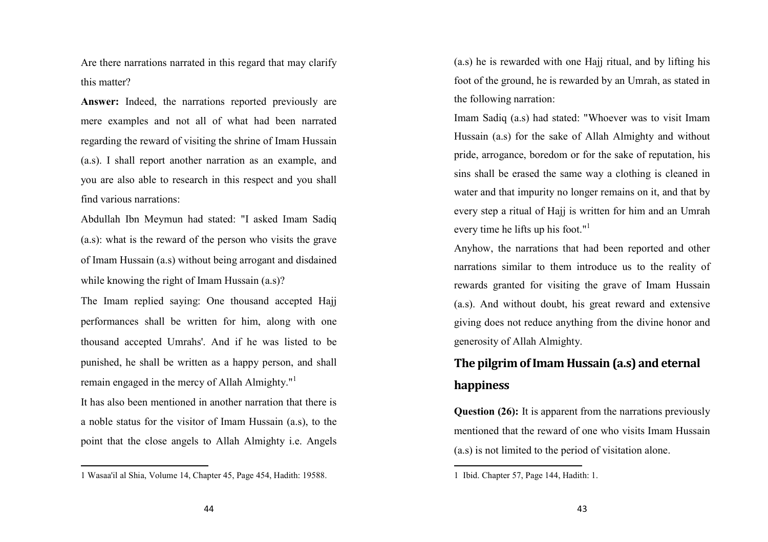Are there narrations narrated in this regard that may clarify this matter?

Answer: Indeed, the narrations reported previously are mere examples and not all of what had been narratedregarding the reward of visiting the shrine of Imam Hussain (a.s). I shall report another narration as an example, and you are also able to research in this respect and you shall find various narrations:

Abdullah Ibn Meymun had stated: "I asked Imam Sadiq(a.s): what is the reward of the person who visits the grave of Imam Hussain (a.s) without being arrogant and disdained while knowing the right of Imam Hussain (a.s)?

The Imam replied saying: One thousand accepted Hajjperformances shall be written for him, along with one thousand accepted Umrahs'. And if he was listed to be punished, he shall be written as a happy person, and shall remain engaged in the mercy of Allah Almighty."<sup>1</sup>

It has also been mentioned in another narration that there is a noble status for the visitor of Imam Hussain (a.s), to the point that the close angels to Allah Almighty i.e. Angels (a.s) he is rewarded with one Hajj ritual, and by lifting his foot of the ground, he is rewarded by an Umrah, as stated in the following narration:

Imam Sadiq (a.s) had stated: "Whoever was to visit Imam Hussain (a.s) for the sake of Allah Almighty and without pride, arrogance, boredom or for the sake of reputation, his sins shall be erased the same way a clothing is cleaned in water and that impurity no longer remains on it, and that by every step a ritual of Hajj is written for him and an Umrah every time he lifts up his foot."<sup>1</sup>

Anyhow, the narrations that had been reported and other narrations similar to them introduce us to the reality of rewards granted for visiting the grave of Imam Hussain (a.s). And without doubt, his great reward and extensive giving does not reduce anything from the divine honor and generosity of Allah Almighty.

# The pilgrim of Imam Hussain (a.s) and eternal happiness

Question (26): It is apparent from the narrations previously mentioned that the reward of one who visits Imam Hussain (a.s) is not limited to the period of visitation alone.

<sup>1</sup> Wasaa'il al Shia, Volume 14, Chapter 45, Page 454, Hadith: 19588.

<sup>1</sup> Ibid. Chapter 57, Page 144, Hadith: 1.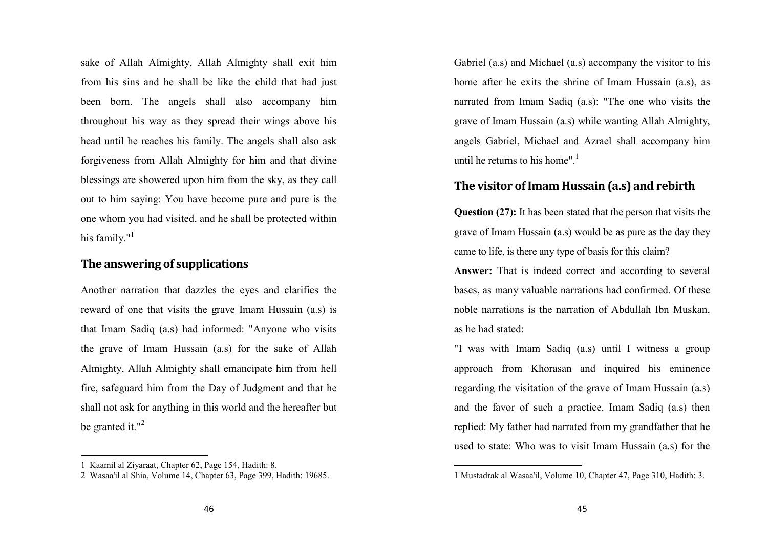sake of Allah Almighty, Allah Almighty shall exit him from his sins and he shall be like the child that had just been born. The angels shall also accompany him throughout his way as they spread their wings above his head until he reaches his family. The angels shall also ask forgiveness from Allah Almighty for him and that divine blessings are showered upon him from the sky, as they call out to him saying: You have become pure and pure is the one whom you had visited, and he shall be protected within his family." $1$ 

## The answering of supplications

Another narration that dazzles the eyes and clarifies the reward of one that visits the grave Imam Hussain (a.s) is that Imam Sadiq (a.s) had informed: "Anyone who visits the grave of Imam Hussain (a.s) for the sake of Allah Almighty, Allah Almighty shall emancipate him from hell fire, safeguard him from the Day of Judgment and that he shall not ask for anything in this world and the hereafter but be granted it." $2$ 

Gabriel (a.s) and Michael (a.s) accompany the visitor to his home after he exits the shrine of Imam Hussain (a.s), as narrated from Imam Sadiq (a.s): "The one who visits the grave of Imam Hussain (a.s) while wanting Allah Almighty, angels Gabriel, Michael and Azrael shall accompany him until he returns to his home". $<sup>1</sup>$ </sup>

## The visitor of Imam Hussain (a.s) and rebirth

Question (27): It has been stated that the person that visits thegrave of Imam Hussain (a.s) would be as pure as the day they came to life, is there any type of basis for this claim?

Answer: That is indeed correct and according to several bases, as many valuable narrations had confirmed. Of these noble narrations is the narration of Abdullah Ibn Muskan, as he had stated:

"I was with Imam Sadiq (a.s) until I witness a group approach from Khorasan and inquired his eminence regarding the visitation of the grave of Imam Hussain (a.s) and the favor of such a practice. Imam Sadiq (a.s) then replied: My father had narrated from my grandfather that he used to state: Who was to visit Imam Hussain (a.s) for the

<sup>1</sup> Kaamil al Ziyaraat, Chapter 62, Page 154, Hadith: 8.

2 Wasaa'il al Shia, Volume 14, Chapter 63, Page 399, Hadith: 19685.

<sup>1</sup> Mustadrak al Wasaa'il, Volume 10, Chapter 47, Page 310, Hadith: 3.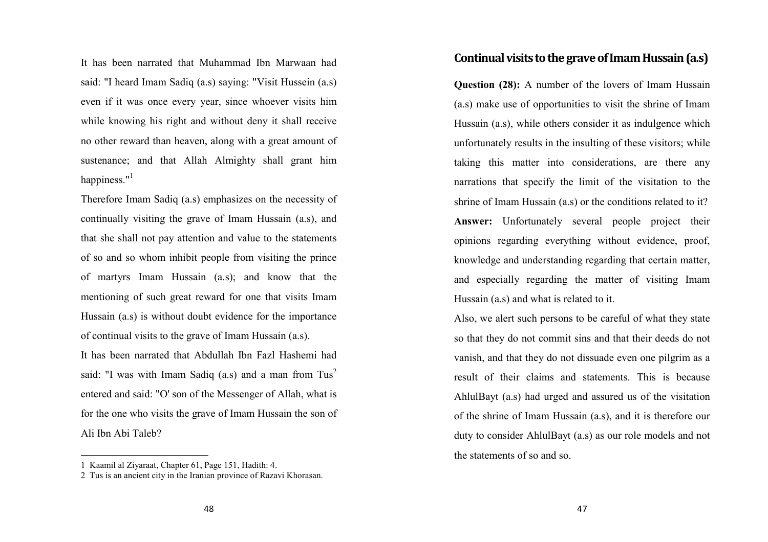It has been narrated that Muhammad Ibn Marwaan had said: "I heard Imam Sadiq (a.s) saying: "Visit Hussein (a.s) even if it was once every year, since whoever visits him while knowing his right and without deny it shall receive no other reward than heaven, along with a great amount of sustenance; and that Allah Almighty shall grant himhappiness."<sup>1</sup>

Therefore Imam Sadiq (a.s) emphasizes on the necessity of continually visiting the grave of Imam Hussain (a.s), and that she shall not pay attention and value to the statements of so and so whom inhibit people from visiting the prince of martyrs Imam Hussain (a.s); and know that the mentioning of such great reward for one that visits Imam Hussain (a.s) is without doubt evidence for the importance of continual visits to the grave of Imam Hussain (a.s). It has been narrated that Abdullah Ibn Fazl Hashemi had

said: "I was with Imam Sadiq (a.s) and a man from  $Tus^2$ entered and said: "O' son of the Messenger of Allah, what is for the one who visits the grave of Imam Hussain the son of Ali Ibn Abi Taleb?

## Continual visits to the grave of Imam Hussain (a.s)

Question (28): A number of the lovers of Imam Hussain (a.s) make use of opportunities to visit the shrine of Imam Hussain (a.s), while others consider it as indulgence which unfortunately results in the insulting of these visitors; while taking this matter into considerations, are there any narrations that specify the limit of the visitation to the shrine of Imam Hussain (a.s) or the conditions related to it? Answer: Unfortunately several people project their opinions regarding everything without evidence, proof, knowledge and understanding regarding that certain matter, and especially regarding the matter of visiting Imam Hussain (a.s) and what is related to it.

Also, we alert such persons to be careful of what they state so that they do not commit sins and that their deeds do not vanish, and that they do not dissuade even one pilgrim as a result of their claims and statements. This is because AhlulBayt (a.s) had urged and assured us of the visitation of the shrine of Imam Hussain (a.s), and it is therefore our duty to consider AhlulBayt (a.s) as our role models and not the statements of so and so.

<sup>1</sup> Kaamil al Ziyaraat, Chapter 61, Page 151, Hadith: 4.

2 Tus is an ancient city in the Iranian province of Razavi Khorasan.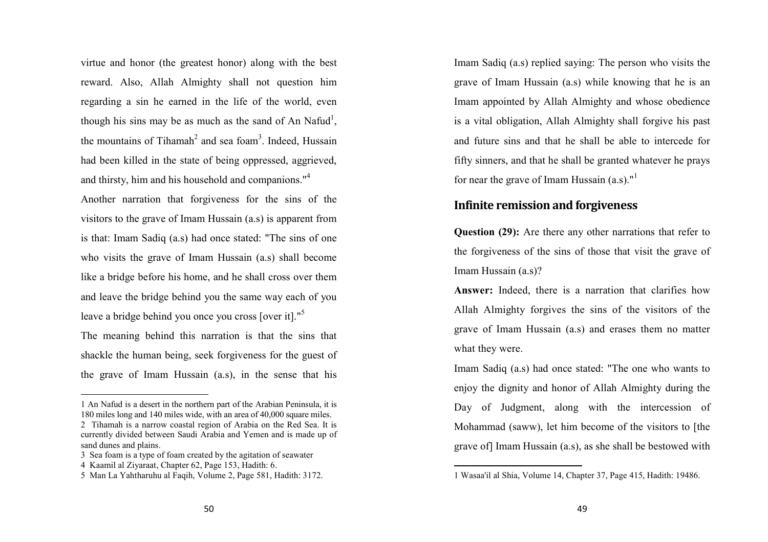virtue and honor (the greatest honor) along with the best reward. Also, Allah Almighty shall not question himregarding a sin he earned in the life of the world, even though his sins may be as much as the sand of An Nafud<sup>1</sup>, the mountains of Tihamah<sup>2</sup> and sea foam<sup>3</sup>. Indeed, Hussain had been killed in the state of being oppressed, aggrieved, and thirsty, him and his household and companions."<sup>4</sup>

Another narration that forgiveness for the sins of the visitors to the grave of Imam Hussain (a.s) is apparent from is that: Imam Sadiq (a.s) had once stated: "The sins of one who visits the grave of Imam Hussain (a.s) shall become like a bridge before his home, and he shall cross over them and leave the bridge behind you the same way each of you leave a bridge behind you once you cross [over it]."<sup>5</sup>

The meaning behind this narration is that the sins that shackle the human being, seek forgiveness for the guest of the grave of Imam Hussain (a.s), in the sense that his

Imam Sadiq (a.s) replied saying: The person who visits the grave of Imam Hussain (a.s) while knowing that he is an Imam appointed by Allah Almighty and whose obedience is a vital obligation, Allah Almighty shall forgive his past and future sins and that he shall be able to intercede for fifty sinners, and that he shall be granted whatever he prays for near the grave of Imam Hussain  $(a.s)$ ."<sup>1</sup>

## Infinite remission and forgiveness

Question (29): Are there any other narrations that refer to the forgiveness of the sins of those that visit the grave of Imam Hussain (a.s)?

Answer: Indeed, there is a narration that clarifies how Allah Almighty forgives the sins of the visitors of the grave of Imam Hussain (a.s) and erases them no matter what they were.

Imam Sadiq (a.s) had once stated: "The one who wants to enjoy the dignity and honor of Allah Almighty during the Day of Judgment, along with the intercession of Mohammad (saww), let him become of the visitors to [the grave of] Imam Hussain (a.s), as she shall be bestowed with

<sup>1</sup> An Nafud is a desert in the northern part of the Arabian Peninsula, it is 180 miles long and 140 miles wide, with an area of 40,000 square miles. 2 Tihamah is a narrow coastal region of Arabia on the Red Sea. It is currently divided between Saudi Arabia and Yemen and is made up of sand dunes and plains.

3 Sea foam is a type of foam created by the agitation of seawater

<sup>4</sup> Kaamil al Ziyaraat, Chapter 62, Page 153, Hadith: 6.

5 Man La Yahtharuhu al Faqih, Volume 2, Page 581, Hadith: 3172.

<sup>1</sup> Wasaa'il al Shia, Volume 14, Chapter 37, Page 415, Hadith: 19486.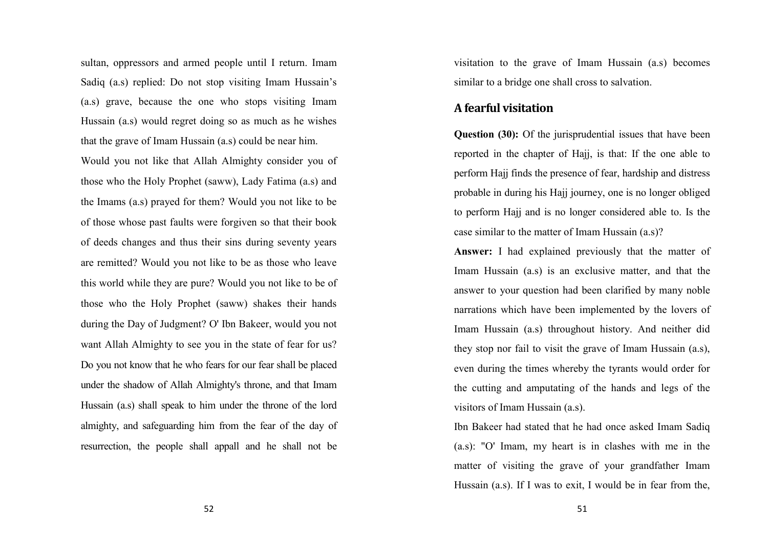sultan, oppressors and armed people until I return. Imam Sadiq (a.s) replied: Do not stop visiting Imam Hussain's (a.s) grave, because the one who stops visiting Imam Hussain (a.s) would regret doing so as much as he wishes that the grave of Imam Hussain (a.s) could be near him.

Would you not like that Allah Almighty consider you of those who the Holy Prophet (saww), Lady Fatima (a.s) and the Imams (a.s) prayed for them? Would you not like to be of those whose past faults were forgiven so that their book of deeds changes and thus their sins during seventy years are remitted? Would you not like to be as those who leave this world while they are pure? Would you not like to be of those who the Holy Prophet (saww) shakes their hands during the Day of Judgment? O' Ibn Bakeer, would you not want Allah Almighty to see you in the state of fear for us? Do you not know that he who fears for our fear shall be placed under the shadow of Allah Almighty's throne, and that Imam Hussain (a.s) shall speak to him under the throne of the lord almighty, and safeguarding him from the fear of the day of resurrection, the people shall appall and he shall not be

visitation to the grave of Imam Hussain (a.s) becomes similar to a bridge one shall cross to salvation.

#### A fearful visitation

Question (30): Of the jurisprudential issues that have been reported in the chapter of Hajj, is that: If the one able to perform Hajj finds the presence of fear, hardship and distress probable in during his Hajj journey, one is no longer obliged to perform Hajj and is no longer considered able to. Is the case similar to the matter of Imam Hussain (a.s)?

Answer: I had explained previously that the matter of Imam Hussain (a.s) is an exclusive matter, and that the answer to your question had been clarified by many noble narrations which have been implemented by the lovers of Imam Hussain (a.s) throughout history. And neither did they stop nor fail to visit the grave of Imam Hussain (a.s), even during the times whereby the tyrants would order for the cutting and amputating of the hands and legs of the visitors of Imam Hussain (a.s).

Ibn Bakeer had stated that he had once asked Imam Sadiq (a.s): "O' Imam, my heart is in clashes with me in the matter of visiting the grave of your grandfather Imam Hussain (a.s). If I was to exit, I would be in fear from the,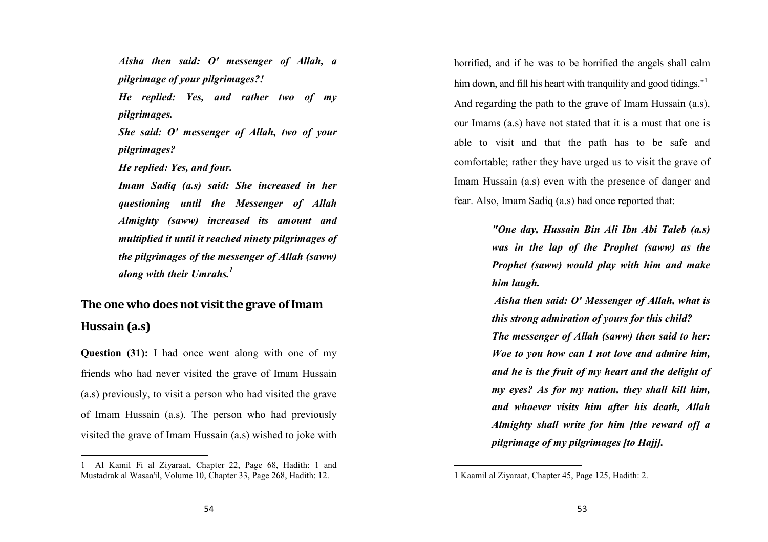Aisha then said: O' messenger of Allah, a pilgrimage of your pilgrimages?! He replied: Yes, and rather two of my pilgrimages. She said: O' messenger of Allah, two of your

pilgrimages?

He replied: Yes, and four.

Imam Sadiq (a.s) said: She increased in her questioning until the Messenger of Allah Almighty (saww) increased its amount and multiplied it until it reached ninety pilgrimages of the pilgrimages of the messenger of Allah (saww) along with their Umrahs. $^{\rm 1}$ 

# The one who does not visit the grave of Imam Hussain (a.s)

Question (31): I had once went along with one of my friends who had never visited the grave of Imam Hussain (a.s) previously, to visit a person who had visited the grave of Imam Hussain (a.s). The person who had previously visited the grave of Imam Hussain (a.s) wished to joke with horrified, and if he was to be horrified the angels shall calm him down, and fill his heart with tranquility and good tidings."<sup>1</sup> And regarding the path to the grave of Imam Hussain (a.s), our Imams (a.s) have not stated that it is a must that one is able to visit and that the path has to be safe and comfortable; rather they have urged us to visit the grave of Imam Hussain (a.s) even with the presence of danger and fear. Also, Imam Sadiq (a.s) had once reported that:

> "One day, Hussain Bin Ali Ibn Abi Taleb (a.s) was in the lap of the Prophet (saww) as the Prophet (saww) would play with him and make him laugh.

> Aisha then said: O' Messenger of Allah, what is this strong admiration of yours for this child? The messenger of Allah (saww) then said to her: Woe to you how can I not love and admire him, and he is the fruit of my heart and the delight of my eyes? As for my nation, they shall kill him, and whoever visits him after his death, Allah Almighty shall write for him [the reward of] a pilgrimage of my pilgrimages [to Hajj].

<sup>1</sup> Al Kamil Fi al Ziyaraat, Chapter 22, Page 68, Hadith: 1 and Mustadrak al Wasaa'il, Volume 10, Chapter 33, Page 268, Hadith: 12.

<sup>1</sup> Kaamil al Ziyaraat, Chapter 45, Page 125, Hadith: 2.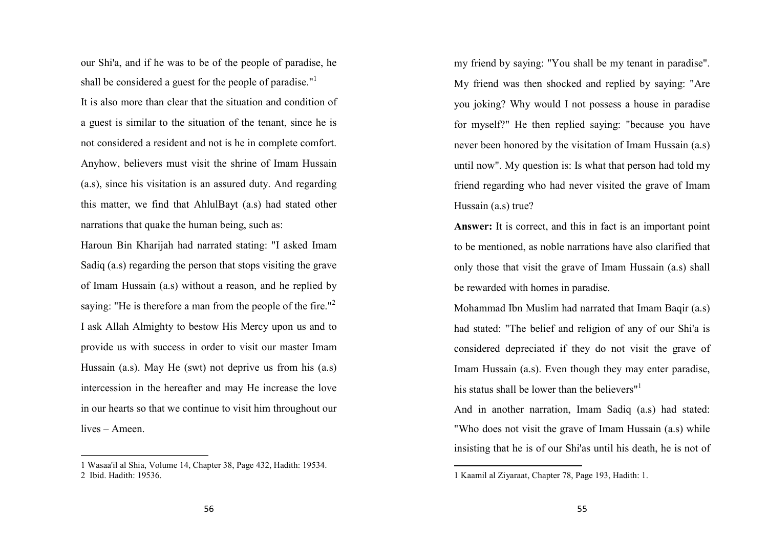our Shi'a, and if he was to be of the people of paradise, he shall be considered a guest for the people of paradise."<sup>1</sup> It is also more than clear that the situation and condition of a guest is similar to the situation of the tenant, since he is not considered a resident and not is he in complete comfort. Anyhow, believers must visit the shrine of Imam Hussain (a.s), since his visitation is an assured duty. And regarding this matter, we find that AhlulBayt (a.s) had stated other narrations that quake the human being, such as:

Haroun Bin Kharijah had narrated stating: "I asked Imam Sadiq (a.s) regarding the person that stops visiting the grave of Imam Hussain (a.s) without a reason, and he replied by saying: "He is therefore a man from the people of the fire."<sup>2</sup> I ask Allah Almighty to bestow His Mercy upon us and to provide us with success in order to visit our master Imam Hussain (a.s). May He (swt) not deprive us from his (a.s) intercession in the hereafter and may He increase the love in our hearts so that we continue to visit him throughout our lives – Ameen.

my friend by saying: "You shall be my tenant in paradise". My friend was then shocked and replied by saying: "Are you joking? Why would I not possess a house in paradise for myself?" He then replied saying: "because you have never been honored by the visitation of Imam Hussain (a.s) until now". My question is: Is what that person had told my friend regarding who had never visited the grave of Imam Hussain (a.s) true?

Answer: It is correct, and this in fact is an important point to be mentioned, as noble narrations have also clarified that only those that visit the grave of Imam Hussain (a.s) shall be rewarded with homes in paradise.

Mohammad Ibn Muslim had narrated that Imam Baqir (a.s) had stated: "The belief and religion of any of our Shi'a is considered depreciated if they do not visit the grave of Imam Hussain (a.s). Even though they may enter paradise, his status shall be lower than the believers $n<sup>1</sup>$ 

And in another narration, Imam Sadiq (a.s) had stated: "Who does not visit the grave of Imam Hussain (a.s) while insisting that he is of our Shi'as until his death, he is not of

<sup>1</sup> Wasaa'il al Shia, Volume 14, Chapter 38, Page 432, Hadith: 19534. 2 Ibid. Hadith: 19536.

<sup>1</sup> Kaamil al Ziyaraat, Chapter 78, Page 193, Hadith: 1.